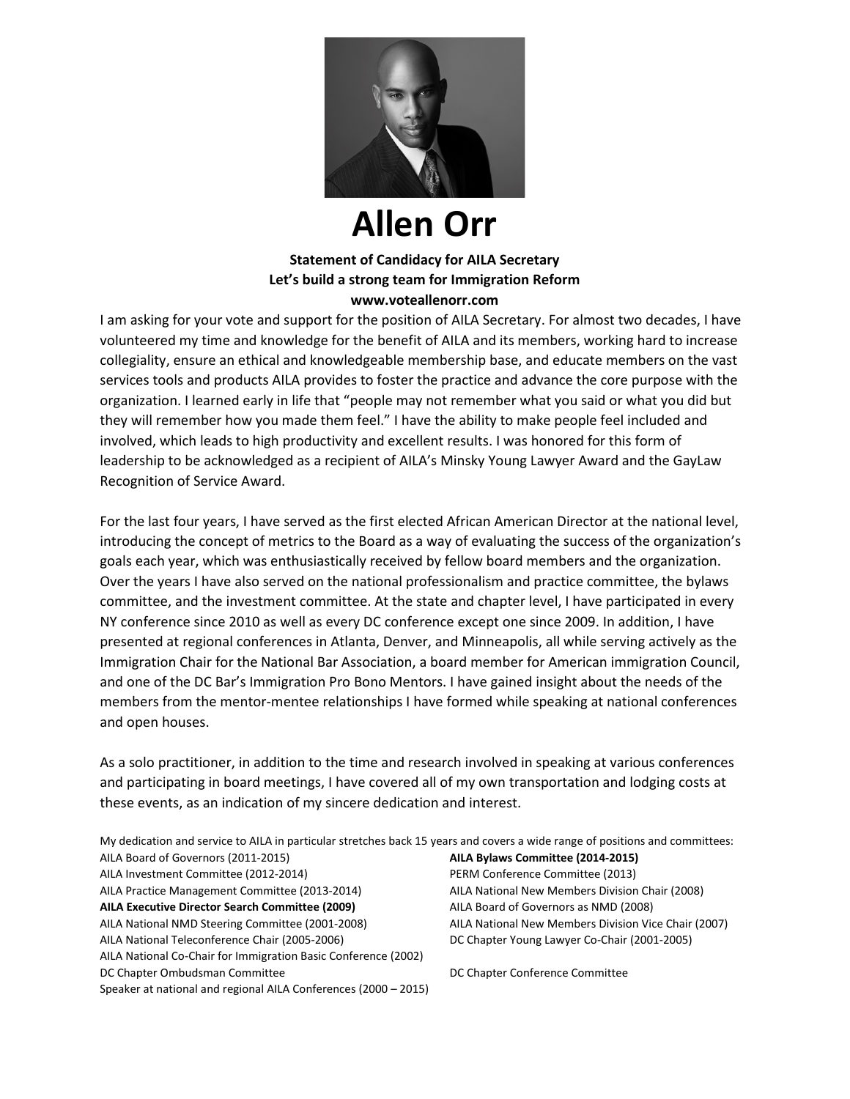

## **Allen Orr**

## **Statement of Candidacy for AILA Secretary Let's build a strong team for Immigration Reform www.voteallenorr.com**

I am asking for your vote and support for the position of AILA Secretary. For almost two decades, I have volunteered my time and knowledge for the benefit of AILA and its members, working hard to increase collegiality, ensure an ethical and knowledgeable membership base, and educate members on the vast services tools and products AILA provides to foster the practice and advance the core purpose with the organization. I learned early in life that "people may not remember what you said or what you did but they will remember how you made them feel." I have the ability to make people feel included and involved, which leads to high productivity and excellent results. I was honored for this form of leadership to be acknowledged as a recipient of AILA's Minsky Young Lawyer Award and the GayLaw Recognition of Service Award.

For the last four years, I have served as the first elected African American Director at the national level, introducing the concept of metrics to the Board as a way of evaluating the success of the organization's goals each year, which was enthusiastically received by fellow board members and the organization. Over the years I have also served on the national professionalism and practice committee, the bylaws committee, and the investment committee. At the state and chapter level, I have participated in every NY conference since 2010 as well as every DC conference except one since 2009. In addition, I have presented at regional conferences in Atlanta, Denver, and Minneapolis, all while serving actively as the Immigration Chair for the National Bar Association, a board member for American immigration Council, and one of the DC Bar's Immigration Pro Bono Mentors. I have gained insight about the needs of the members from the mentor-mentee relationships I have formed while speaking at national conferences and open houses.

As a solo practitioner, in addition to the time and research involved in speaking at various conferences and participating in board meetings, I have covered all of my own transportation and lodging costs at these events, as an indication of my sincere dedication and interest.

| My dedication and service to AILA in particular stretches back 15 years and covers a wide range of positions and committees: |                                                      |
|------------------------------------------------------------------------------------------------------------------------------|------------------------------------------------------|
| AILA Board of Governors (2011-2015)                                                                                          | AILA Bylaws Committee (2014-2015)                    |
| AILA Investment Committee (2012-2014)                                                                                        | PERM Conference Committee (2013)                     |
| AILA Practice Management Committee (2013-2014)                                                                               | AILA National New Members Division Chair (2008)      |
| <b>AILA Executive Director Search Committee (2009)</b>                                                                       | AILA Board of Governors as NMD (2008)                |
| AILA National NMD Steering Committee (2001-2008)                                                                             | AILA National New Members Division Vice Chair (2007) |
| AILA National Teleconference Chair (2005-2006)                                                                               | DC Chapter Young Lawyer Co-Chair (2001-2005)         |
| AILA National Co-Chair for Immigration Basic Conference (2002)                                                               |                                                      |
| DC Chapter Ombudsman Committee                                                                                               | DC Chapter Conference Committee                      |
| Speaker at national and regional AILA Conferences (2000 - 2015)                                                              |                                                      |
|                                                                                                                              |                                                      |